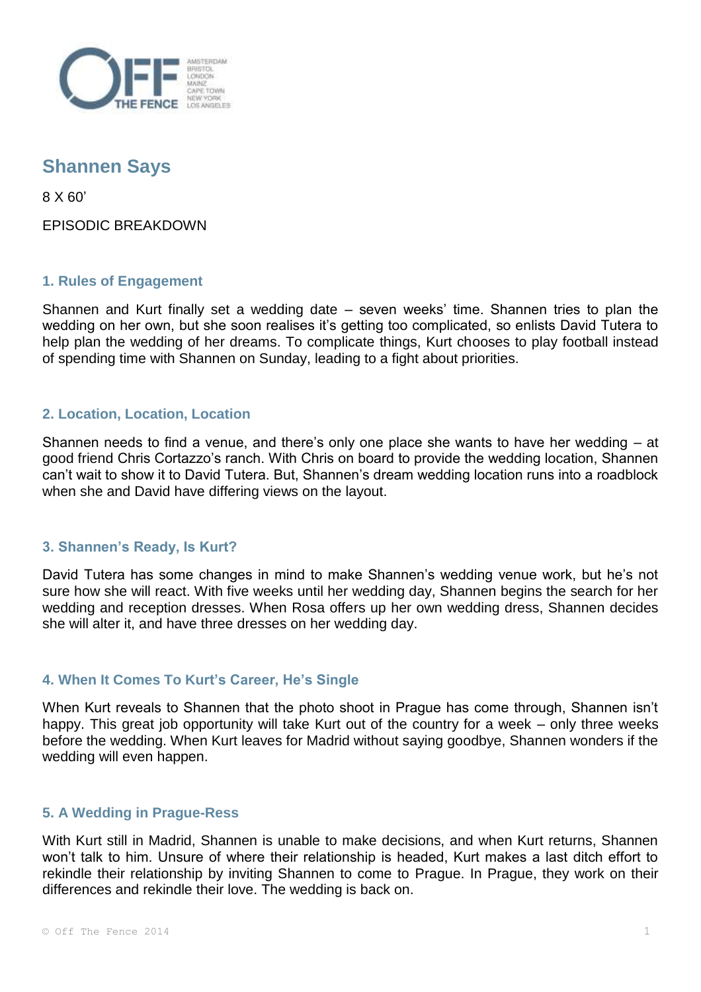

# **Shannen Says**

8 X 60'

EPISODIC BREAKDOWN

## **1. Rules of Engagement**

Shannen and Kurt finally set a wedding date – seven weeks' time. Shannen tries to plan the wedding on her own, but she soon realises it's getting too complicated, so enlists David Tutera to help plan the wedding of her dreams. To complicate things, Kurt chooses to play football instead of spending time with Shannen on Sunday, leading to a fight about priorities.

## **2. Location, Location, Location**

Shannen needs to find a venue, and there's only one place she wants to have her wedding – at good friend Chris Cortazzo's ranch. With Chris on board to provide the wedding location, Shannen can't wait to show it to David Tutera. But, Shannen's dream wedding location runs into a roadblock when she and David have differing views on the layout.

## **3. Shannen's Ready, Is Kurt?**

David Tutera has some changes in mind to make Shannen's wedding venue work, but he's not sure how she will react. With five weeks until her wedding day, Shannen begins the search for her wedding and reception dresses. When Rosa offers up her own wedding dress, Shannen decides she will alter it, and have three dresses on her wedding day.

## **4. When It Comes To Kurt's Career, He's Single**

When Kurt reveals to Shannen that the photo shoot in Prague has come through, Shannen isn't happy. This great job opportunity will take Kurt out of the country for a week – only three weeks before the wedding. When Kurt leaves for Madrid without saying goodbye, Shannen wonders if the wedding will even happen.

## **5. A Wedding in Prague-Ress**

With Kurt still in Madrid, Shannen is unable to make decisions, and when Kurt returns, Shannen won't talk to him. Unsure of where their relationship is headed, Kurt makes a last ditch effort to rekindle their relationship by inviting Shannen to come to Prague. In Prague, they work on their differences and rekindle their love. The wedding is back on.